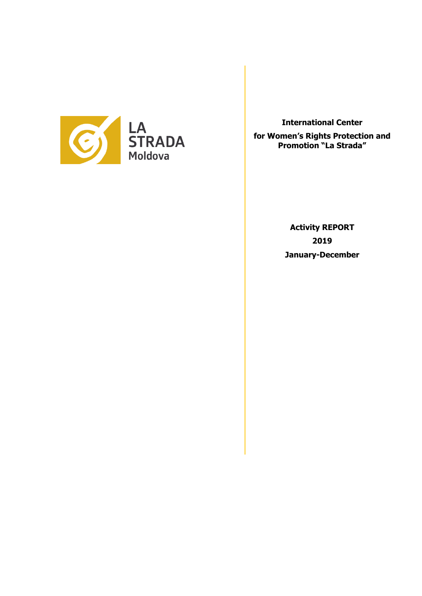

**International Center** 

**for Women's Rights Protection and Promotion "La Strada"**

> **Activity REPORT 2019 January-December**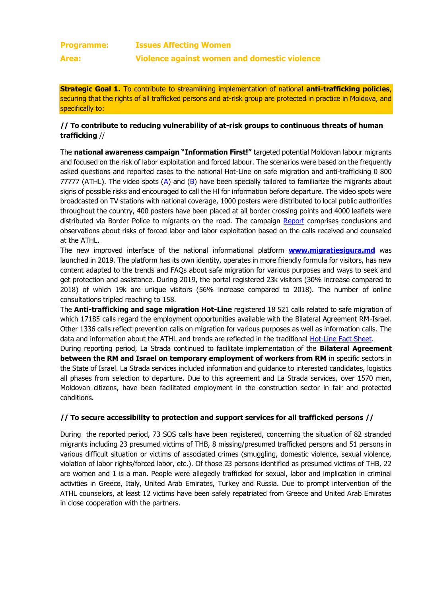| <b>Programme:</b> | <b>Issues Affecting Women</b>                |
|-------------------|----------------------------------------------|
| Area:             | Violence against women and domestic violence |

**Strategic Goal 1.** To contribute to streamlining implementation of national **anti-trafficking policies**, securing that the rights of all trafficked persons and at-risk group are protected in practice in Moldova, and specifically to:

# **// To contribute to reducing vulnerability of at-risk groups to continuous threats of human trafficking** //

The **national awareness campaign "Information First!"** targeted potential Moldovan labour migrants and focused on the risk of labor exploitation and forced labour. The scenarios were based on the frequently asked questions and reported cases to the national Hot-Line on safe migration and anti-trafficking 0 800 77777 (ATHL). The video spots  $(A)$  and  $(B)$  have been specially tailored to familiarize the migrants about signs of possible risks and encouraged to call the Hl for information before departure. The video spots were broadcasted on TV stations with national coverage, 1000 posters were distributed to local public authorities throughout the country, 400 posters have been placed at all border crossing points and 4000 leaflets were distributed via Border Police to migrants on the road. The campaign [Report](http://lastrada.md/pic/uploaded/MIGRATION%2520OF%2520CITIZENS%2520OF%2520THE%2520REPUBLIC%2520OF%2520MOLDOVA%2520FOR%2520WORK%2520PURPOSES%2520-%2520RISKS%2520ASSOCIATED%2520WITH%2520HUMAN%2520TRAFFICKING%2520AND%2520FORCED%2520LABOUR_2019.pdf) comprises conclusions and observations about risks of forced labor and labor exploitation based on the calls received and counseled at the ATHL.

The new improved interface of the national informational platform **[www.migratiesigura.md](http://www.migratiesigura.md/)** was launched in 2019. The platform has its own identity, operates in more friendly formula for visitors, has new content adapted to the trends and FAQs about safe migration for various purposes and ways to seek and get protection and assistance. During 2019, the portal registered 23k visitors (30% increase compared to 2018) of which 19k are unique visitors (56% increase compared to 2018). The number of online consultations tripled reaching to 158.

The **Anti-trafficking and sage migration Hot-Line** registered 18 521 calls related to safe migration of which 17185 calls regard the employment opportunities available with the Bilateral Agreement RM-Israel. Other 1336 calls reflect prevention calls on migration for various purposes as well as information calls. The data and information about the ATHL and trends are reflected in the traditional [Hot-Line Fact Sheet.](http://lastrada.md/pic/uploaded/Hotline%20Factsheet_december%202019.docx.pdf)

During reporting period, La Strada continued to facilitate implementation of the **Bilateral Agreement between the RM and Israel on temporary employment of workers from RM** in specific sectors in the State of Israel. La Strada services included information and guidance to interested candidates, logistics all phases from selection to departure. Due to this agreement and La Strada services, over 1570 men, Moldovan citizens, have been facilitated employment in the construction sector in fair and protected conditions.

# **// To secure accessibility to protection and support services for all trafficked persons //**

During the reported period, 73 SOS calls have been registered, concerning the situation of 82 stranded migrants including 23 presumed victims of THB, 8 missing/presumed trafficked persons and 51 persons in various difficult situation or victims of associated crimes (smuggling, domestic violence, sexual violence, violation of labor rights/forced labor, etc.). Of those 23 persons identified as presumed victims of THB, 22 are women and 1 is a man. People were allegedly trafficked for sexual, labor and implication in criminal activities in Greece, Italy, United Arab Emirates, Turkey and Russia. Due to prompt intervention of the ATHL counselors, at least 12 victims have been safely repatriated from Greece and United Arab Emirates in close cooperation with the partners.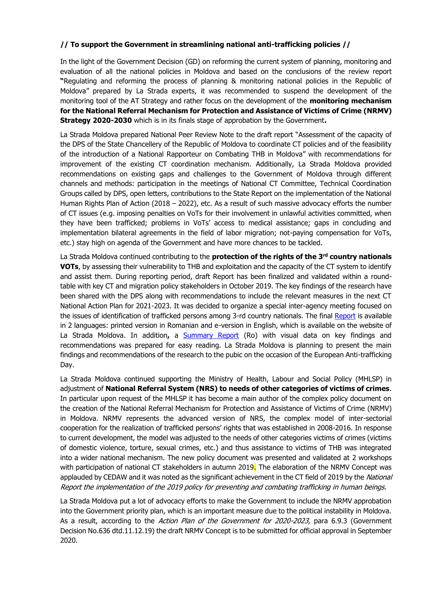# **// To support the Government in streamlining national anti-trafficking policies //**

In the light of the Government Decision (GD) on reforming the current system of planning, monitoring and evaluation of all the national policies in Moldova and based on the conclusions of the review report **"**Regulating and reforming the process of planning & monitoring national policies in the Republic of Moldova" prepared by La Strada experts, it was recommended to suspend the development of the monitoring tool of the AT Strategy and rather focus on the development of the **monitoring mechanism for the National Referral Mechanism for Protection and Assistance of Victims of Crime (NRMV) Strategy 2020-2030** which is in its finals stage of approbation by the Government**.**

La Strada Moldova prepared National Peer Review Note to the draft report "Assessment of the capacity of the DPS of the State Chancellery of the Republic of Moldova to coordinate CT policies and of the feasibility of the introduction of a National Rapporteur on Combating THB in Moldova" with recommendations for improvement of the existing CT coordination mechanism. Additionally, La Strada Moldova provided recommendations on existing gaps and challenges to the Government of Moldova through different channels and methods: participation in the meetings of National CT Committee, Technical Coordination Groups called by DPS, open letters, contributions to the State Report on the implementation of the National Human Rights Plan of Action (2018 – 2022), etc. As a result of such massive advocacy efforts the number of CT issues (e.g. imposing penalties on VoTs for their involvement in unlawful activities committed, when they have been trafficked; problems in VoTs' access to medical assistance; gaps in concluding and implementation bilateral agreements in the field of labor migration; not-paying compensation for VoTs, etc.) stay high on agenda of the Government and have more chances to be tackled.

La Strada Moldova continued contributing to the **protection of the rights of the 3rd country nationals VOTs**, by assessing their vulnerability to THB and exploitation and the capacity of the CT system to identify and assist them. During reporting period, draft Report has been finalized and validated within a roundtable with key CT and migration policy stakeholders in October 2019. The key findings of the research have been shared with the DPS along with recommendations to include the relevant measures in the next CT National Action Plan for 2021-2023. It was decided to organize a special inter-agency meeting focused on the issues of identification of trafficked persons among 3-rd country nationals. The final [Report](http://lastrada.md/pic/uploaded/Raport_migratie_en_2020.pdf) is available in 2 languages: printed version in Romanian and e-version in English, which is available on the website of La Strada Moldova. In addition**,** a [Summary Report](http://lastrada.md/pic/uploaded/Sumar%20raport%20migranti_TIPAR%20bleeds_r.pdf) (Ro) with visual data on key findings and recommendations was prepared for easy reading. La Strada Moldova is planning to present the main findings and recommendations of the research to the pubic on the occasion of the European Anti-trafficking Day.

La Strada Moldova continued supporting the Ministry of Health, Labour and Social Policy (MHLSP) in adjustment of **National Referral System (NRS) to needs of other categories of victims of crimes**. In particular upon request of the MHLSP it has become a main author of the complex policy document on the creation of the National Referral Mechanism for Protection and Assistance of Victims of Crime (NRMV) in Moldova. NRMV represents the advanced version of NRS, the complex model of inter-sectorial cooperation for the realization of trafficked persons' rights that was established in 2008-2016. In response to current development, the model was adjusted to the needs of other categories victims of crimes (victims of domestic violence, torture, sexual crimes, etc.) and thus assistance to victims of THB was integrated into a wider national mechanism. The new policy document was presented and validated at 2 workshops with participation of national CT stakeholders in autumn 2019. The elaboration of the NRMV Concept was applauded by CEDAW and it was noted as the significant achievement in the CT field of 2019 by the National Report the implementation of the 2019 policy for preventing and combating trafficking in human beings.

La Strada Moldova put a lot of advocacy efforts to make the Government to include the NRMV approbation into the Government priority plan, which is an important measure due to the political instability in Moldova. As a result, according to the *Action Plan of the Government for 2020-2023*, para 6.9.3 (Government Decision No.636 dtd.11.12.19) the draft NRMV Concept is to be submitted for official approval in September 2020.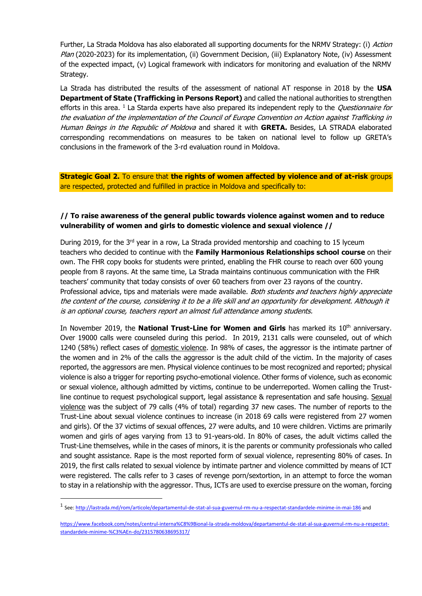Further, La Strada Moldova has also elaborated all supporting documents for the NRMV Strategy: (i) Action Plan (2020-2023) for its implementation, (ii) Government Decision, (iii) Explanatory Note, (iv) Assessment of the expected impact, (v) Logical framework with indicators for monitoring and evaluation of the NRMV Strategy.

La Strada has distributed the results of the assessment of national AT response in 2018 by the **USA Department of State (Trafficking in Persons Report)** and called the national authorities to strengthen efforts in this area. <sup>1</sup> La Starda experts have also prepared its independent reply to the *Questionnaire for* the evaluation of the implementation of the Council of Europe Convention on Action against Trafficking in Human Beings in the Republic of Moldova and shared it with **GRETA.** Besides, LA STRADA elaborated corresponding recommendations on measures to be taken on national level to follow up GRETA's conclusions in the framework of the 3-rd evaluation round in Moldova.

**Strategic Goal 2.** To ensure that **the rights of women affected by violence and of at-risk** groups are respected, protected and fulfilled in practice in Moldova and specifically to:

# **// To raise awareness of the general public towards violence against women and to reduce vulnerability of women and girls to domestic violence and sexual violence //**

During 2019, for the  $3<sup>rd</sup>$  year in a row, La Strada provided mentorship and coaching to 15 lyceum teachers who decided to continue with the **Family Harmonious Relationships school course** on their own. The FHR copy books for students were printed, enabling the FHR course to reach over 600 young people from 8 rayons. At the same time, La Strada maintains continuous communication with the FHR teachers' community that today consists of over 60 teachers from over 23 rayons of the country. Professional advice, tips and materials were made available. Both students and teachers highly appreciate the content of the course, considering it to be a life skill and an opportunity for development. Although it is an optional course, teachers report an almost full attendance among students.

In November 2019, the **National Trust-Line for Women and Girls** has marked its 10<sup>th</sup> anniversary. Over 19000 calls were counseled during this period. In 2019, 2131 calls were counseled, out of which 1240 (58%) reflect cases of domestic violence. In 98% of cases, the aggressor is the intimate partner of the women and in 2% of the calls the aggressor is the adult child of the victim. In the majority of cases reported, the aggressors are men. Physical violence continues to be most recognized and reported; physical violence is also a trigger for reporting psycho-emotional violence. Other forms of violence, such as economic or sexual violence, although admitted by victims, continue to be underreported. Women calling the Trustline continue to request psychological support, legal assistance & representation and safe housing. Sexual violence was the subject of 79 calls (4% of total) regarding 37 new cases. The number of reports to the Trust-Line about sexual violence continues to increase (in 2018 69 calls were registered from 27 women and girls). Of the 37 victims of sexual offences, 27 were adults, and 10 were children. Victims are primarily women and girls of ages varying from 13 to 91-years-old. In 80% of cases, the adult victims called the Trust-Line themselves, while in the cases of minors, it is the parents or community professionals who called and sought assistance. Rape is the most reported form of sexual violence, representing 80% of cases. In 2019, the first calls related to sexual violence by intimate partner and violence committed by means of ICT were registered. The calls refer to 3 cases of revenge porn/sextortion, in an attempt to force the woman to stay in a relationship with the aggressor. Thus, ICTs are used to exercise pressure on the woman, forcing

1

<sup>&</sup>lt;sup>1</sup> See[: http://lastrada.md/rom/articole/departamentul-de-stat-al-sua-guvernul-rm-nu-a-respectat-standardele-minime-in-mai-186](http://lastrada.md/rom/articole/departamentul-de-stat-al-sua-guvernul-rm-nu-a-respectat-standardele-minime-in-mai-186) and

[https://www.facebook.com/notes/centrul-interna%C8%9Bional-la-strada-moldova/departamentul-de-stat-al-sua-guvernul-rm-nu-a-respectat](https://www.facebook.com/notes/centrul-interna%C8%9Bional-la-strada-moldova/departamentul-de-stat-al-sua-guvernul-rm-nu-a-respectat-standardele-minime-%C3%AEn-do/2315780638695317/)[standardele-minime-%C3%AEn-do/2315780638695317/](https://www.facebook.com/notes/centrul-interna%C8%9Bional-la-strada-moldova/departamentul-de-stat-al-sua-guvernul-rm-nu-a-respectat-standardele-minime-%C3%AEn-do/2315780638695317/)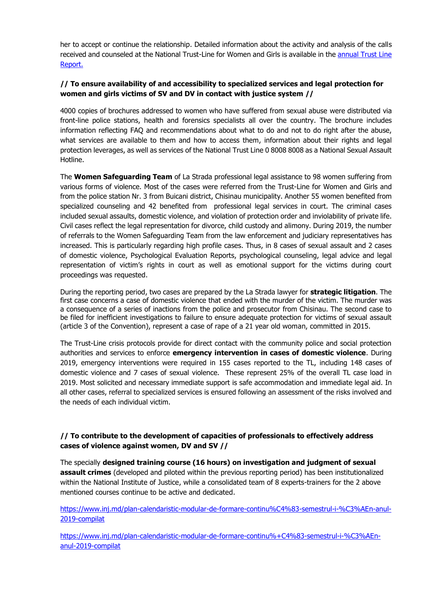her to accept or continue the relationship. Detailed information about the activity and analysis of the calls received and counseled at the National Trust-Line for Women and Girls is available in the [annual Trust Line](http://lastrada.md/pic/uploaded/Raport%20anual%20TIFF_2019.pdf)  [Report.](http://lastrada.md/pic/uploaded/Raport%20anual%20TIFF_2019.pdf)

# **// To ensure availability of and accessibility to specialized services and legal protection for women and girls victims of SV and DV in contact with justice system //**

4000 copies of brochures addressed to women who have suffered from sexual abuse were distributed via front-line police stations, health and forensics specialists all over the country. The brochure includes information reflecting FAQ and recommendations about what to do and not to do right after the abuse, what services are available to them and how to access them, information about their rights and legal protection leverages, as well as services of the National Trust Line 0 8008 8008 as a National Sexual Assault Hotline.

The **Women Safeguarding Team** of La Strada professional legal assistance to 98 women suffering from various forms of violence. Most of the cases were referred from the Trust-Line for Women and Girls and from the police station Nr. 3 from Buicani district, Chisinau municipality. Another 55 women benefited from specialized counseling and 42 benefited from professional legal services in court. The criminal cases included sexual assaults, domestic violence, and violation of protection order and inviolability of private life. Civil cases reflect the legal representation for divorce, child custody and alimony. During 2019, the number of referrals to the Women Safeguarding Team from the law enforcement and judiciary representatives has increased. This is particularly regarding high profile cases. Thus, in 8 cases of sexual assault and 2 cases of domestic violence, Psychological Evaluation Reports, psychological counseling, legal advice and legal representation of victim's rights in court as well as emotional support for the victims during court proceedings was requested.

During the reporting period, two cases are prepared by the La Strada lawyer for **strategic litigation**. The first case concerns a case of domestic violence that ended with the murder of the victim. The murder was a consequence of a series of inactions from the police and prosecutor from Chisinau. The second case to be filed for inefficient investigations to failure to ensure adequate protection for victims of sexual assault (article 3 of the Convention), represent a case of rape of a 21 year old woman, committed in 2015.

The Trust-Line crisis protocols provide for direct contact with the community police and social protection authorities and services to enforce **emergency intervention in cases of domestic violence**. During 2019, emergency interventions were required in 155 cases reported to the TL, including 148 cases of domestic violence and 7 cases of sexual violence. These represent 25% of the overall TL case load in 2019. Most solicited and necessary immediate support is safe accommodation and immediate legal aid. In all other cases, referral to specialized services is ensured following an assessment of the risks involved and the needs of each individual victim.

# **// To contribute to the development of capacities of professionals to effectively address cases of violence against women, DV and SV //**

The specially **designed training course (16 hours) on investigation and judgment of sexual assault crimes** (developed and piloted within the previous reporting period) has been institutionalized within the National Institute of Justice, while a consolidated team of 8 experts-trainers for the 2 above mentioned courses continue to be active and dedicated.

[https://www.inj.md/plan-calendaristic-modular-de-formare-continu%C4%83-semestrul-i-%C3%AEn-anul-](https://www.inj.md/plan-calendaristic-modular-de-formare-continu%C4%83-semestrul-i-%C3%AEn-anul-2019-compilat)[2019-compilat](https://www.inj.md/plan-calendaristic-modular-de-formare-continu%C4%83-semestrul-i-%C3%AEn-anul-2019-compilat)

[https://www.inj.md/plan-calendaristic-modular-de-formare-continu%+C4%83-semestrul-i-%C3%AEn](https://www.inj.md/plan-calendaristic-modular-de-formare-continu%25+C4%83-semestrul-i-%C3%AEn-anul-2019-compilat)[anul-2019-compilat](https://www.inj.md/plan-calendaristic-modular-de-formare-continu%25+C4%83-semestrul-i-%C3%AEn-anul-2019-compilat)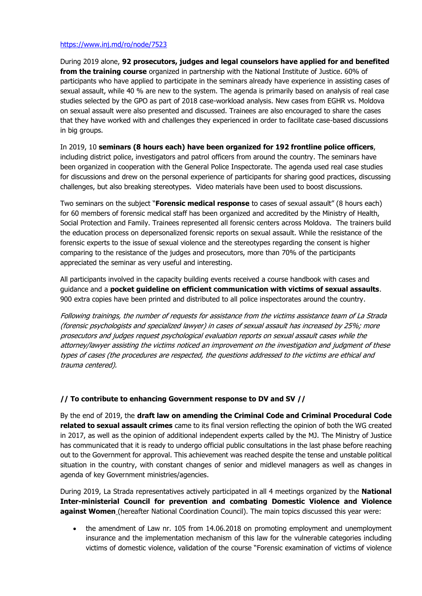### <https://www.inj.md/ro/node/7523>

During 2019 alone, **92 prosecutors, judges and legal counselors have applied for and benefited from the training course** organized in partnership with the National Institute of Justice. 60% of participants who have applied to participate in the seminars already have experience in assisting cases of sexual assault, while 40 % are new to the system. The agenda is primarily based on analysis of real case studies selected by the GPO as part of 2018 case-workload analysis. New cases from EGHR vs. Moldova on sexual assault were also presented and discussed. Trainees are also encouraged to share the cases that they have worked with and challenges they experienced in order to facilitate case-based discussions in big groups.

In 2019, 10 **seminars (8 hours each) have been organized for 192 frontline police officers**, including district police, investigators and patrol officers from around the country. The seminars have been organized in cooperation with the General Police Inspectorate. The agenda used real case studies for discussions and drew on the personal experience of participants for sharing good practices, discussing challenges, but also breaking stereotypes. Video materials have been used to boost discussions.

Two seminars on the subject "**Forensic medical response** to cases of sexual assault" (8 hours each) for 60 members of forensic medical staff has been organized and accredited by the Ministry of Health, Social Protection and Family. Trainees represented all forensic centers across Moldova. The trainers build the education process on depersonalized forensic reports on sexual assault. While the resistance of the forensic experts to the issue of sexual violence and the stereotypes regarding the consent is higher comparing to the resistance of the judges and prosecutors, more than 70% of the participants appreciated the seminar as very useful and interesting.

All participants involved in the capacity building events received a course handbook with cases and guidance and a **pocket guideline on efficient communication with victims of sexual assaults**. 900 extra copies have been printed and distributed to all police inspectorates around the country.

Following trainings, the number of requests for assistance from the victims assistance team of La Strada (forensic psychologists and specialized lawyer) in cases of sexual assault has increased by 25%; more prosecutors and judges request psychological evaluation reports on sexual assault cases while the attorney/lawyer assisting the victims noticed an improvement on the investigation and judgment of these types of cases (the procedures are respected, the questions addressed to the victims are ethical and trauma centered).

# **// To contribute to enhancing Government response to DV and SV //**

By the end of 2019, the **draft law on amending the Criminal Code and Criminal Procedural Code related to sexual assault crimes** came to its final version reflecting the opinion of both the WG created in 2017, as well as the opinion of additional independent experts called by the MJ. The Ministry of Justice has communicated that it is ready to undergo official public consultations in the last phase before reaching out to the Government for approval. This achievement was reached despite the tense and unstable political situation in the country, with constant changes of senior and midlevel managers as well as changes in agenda of key Government ministries/agencies.

During 2019, La Strada representatives actively participated in all 4 meetings organized by the **National Inter-ministerial Council for prevention and combating Domestic Violence and Violence against Women** (hereafter National Coordination Council). The main topics discussed this year were:

• the amendment of Law nr. 105 from 14.06.2018 on promoting employment and unemployment insurance and the implementation mechanism of this law for the vulnerable categories including victims of domestic violence, validation of the course "Forensic examination of victims of violence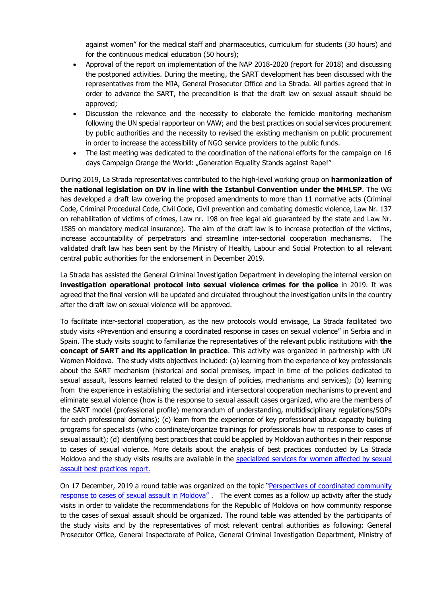against women" for the medical staff and pharmaceutics, curriculum for students (30 hours) and for the continuous medical education (50 hours);

- Approval of the report on implementation of the NAP 2018-2020 (report for 2018) and discussing the postponed activities. During the meeting, the SART development has been discussed with the representatives from the MIA, General Prosecutor Office and La Strada. All parties agreed that in order to advance the SART, the precondition is that the draft law on sexual assault should be approved;
- Discussion the relevance and the necessity to elaborate the femicide monitoring mechanism following the UN special rapporteur on VAW; and the best practices on social services procurement by public authorities and the necessity to revised the existing mechanism on public procurement in order to increase the accessibility of NGO service providers to the public funds.
- The last meeting was dedicated to the coordination of the national efforts for the campaign on 16 days Campaign Orange the World: "Generation Equality Stands against Rape!"

During 2019, La Strada representatives contributed to the high-level working group on **harmonization of the national legislation on DV in line with the Istanbul Convention under the MHLSP**. The WG has developed a draft law covering the proposed amendments to more than 11 normative acts (Criminal Code, Criminal Procedural Code, Civil Code, Civil prevention and combating domestic violence, Law Nr. 137 on rehabilitation of victims of crimes, Law nr. 198 on free legal aid guaranteed by the state and Law Nr. 1585 on mandatory medical insurance). The aim of the draft law is to increase protection of the victims, increase accountability of perpetrators and streamline inter-sectorial cooperation mechanisms. The validated draft law has been sent by the Ministry of Health, Labour and Social Protection to all relevant central public authorities for the endorsement in December 2019.

La Strada has assisted the General Criminal Investigation Department in developing the internal version on **investigation operational protocol into sexual violence crimes for the police** in 2019. It was agreed that the final version will be updated and circulated throughout the investigation units in the country after the draft law on sexual violence will be approved.

To facilitate inter-sectorial cooperation, as the new protocols would envisage, La Strada facilitated two study visits «Prevention and ensuring a coordinated response in cases on sexual violence" in Serbia and in Spain. The study visits sought to familiarize the representatives of the relevant public institutions with **the concept of SART and its application in practice**. This activity was organized in partnership with UN Women Moldova. The study visits objectives included: (a) learning from the experience of key professionals about the SART mechanism (historical and social premises, impact in time of the policies dedicated to sexual assault, lessons learned related to the design of policies, mechanisms and services); (b) learning from the experience in establishing the sectorial and intersectoral cooperation mechanisms to prevent and eliminate sexual violence (how is the response to sexual assault cases organized, who are the members of the SART model (professional profile) memorandum of understanding, multidisciplinary regulations/SOPs for each professional domains); (c) learn from the experience of key professional about capacity building programs for specialists (who coordinate/organize trainings for professionals how to response to cases of sexual assault); (d) identifying best practices that could be applied by Moldovan authorities in their response to cases of sexual violence. More details about the analysis of best practices conducted by La Strada Moldova and the study visits results are available in the [specialized services for women affected by sexual](http://lastrada.md/pic/uploaded/Report%20services%20for%20SVV%20in%20Europe_ENG.pdf)  [assault best practices report.](http://lastrada.md/pic/uploaded/Report%20services%20for%20SVV%20in%20Europe_ENG.pdf) 

On 17 December, 2019 a round table was organized on the topic "Perspectives of coordinated community [response to cases of sexual assault in Moldova"](https://www.facebook.com/ONGLaStrada/posts/2458837277722985?__xts__%5b0%5d=68.ARB6dcmzTqzxiDt9O8Zum3TT5FMbX-ATsLoFBTk2hHKUG6-I2nWDlc52bR897nGSXh1X6_chYPuTfCVXpSDMny). The event comes as a follow up activity after the study visits in order to validate the recommendations for the Republic of Moldova on how community response to the cases of sexual assault should be organized. The round table was attended by the participants of the study visits and by the representatives of most relevant central authorities as following: General Prosecutor Office, General Inspectorate of Police, General Criminal Investigation Department, Ministry of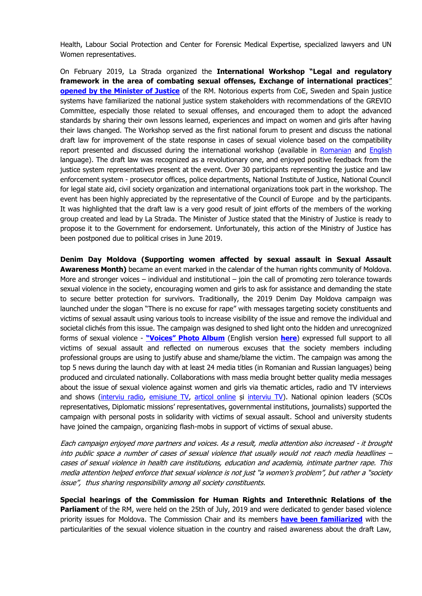Health, Labour Social Protection and Center for Forensic Medical Expertise, specialized lawyers and UN Women representatives.

On February 2019, La Strada organized the **International Workshop "Legal and regulatory framework in the area of combating sexual offenses, Exchange of international practices**" **[opened by the Minister of Justice](http://lastrada.md/eng/articles/the-national-community-of-professionals-in-investigating-and-trying-in-court-sexua-176)** of the RM. Notorious experts from CoE, Sweden and Spain justice systems have familiarized the national justice system stakeholders with recommendations of the GREVIO Committee, especially those related to sexual offenses, and encouraged them to adopt the advanced standards by sharing their own lessons learned, experiences and impact on women and girls after having their laws changed. The Workshop served as the first national forum to present and discuss the national draft law for improvement of the state response in cases of sexual violence based on the compatibility report presented and discussed during the international workshop (available in [Romanian](http://lastrada.md/pic/uploaded/Raport%20de%20compatibilitate%20norme%20penale%20VS.pdf) and [English](http://lastrada.md/pic/uploaded/Compatibility%20Report%20SV_2018_1.pdf) language). The draft law was recognized as a revolutionary one, and enjoyed positive feedback from the justice system representatives present at the event. Over 30 participants representing the justice and law enforcement system - prosecutor offices, police departments, National Institute of Justice, National Council for legal state aid, civil society organization and international organizations took part in the workshop. The event has been highly appreciated by the representative of the Council of Europe and by the participants. It was highlighted that the draft law is a very good result of joint efforts of the members of the working group created and lead by La Strada. The Minister of Justice stated that the Ministry of Justice is ready to propose it to the Government for endorsement. Unfortunately, this action of the Ministry of Justice has been postponed due to political crises in June 2019.

**Denim Day Moldova (Supporting women affected by sexual assault in Sexual Assault Awareness Month)** became an event marked in the calendar of the human rights community of Moldova. More and stronger voices  $-$  individual and institutional  $-$  join the call of promoting zero tolerance towards sexual violence in the society, encouraging women and girls to ask for assistance and demanding the state to secure better protection for survivors. Traditionally, the 2019 Denim Day Moldova campaign was launched under the slogan "There is no excuse for rape" with messages targeting society constituents and victims of sexual assault using various tools to increase visibility of the issue and remove the individual and societal clichés from this issue. The campaign was designed to shed light onto the hidden and unrecognized forms of sexual violence - **["Voices" Photo Album](https://www.facebook.com/pg/ONGLaStrada/photos/?tab=album&album_id=2275169852756396)** (English version **[here](http://lastrada.md/eng/articles/there-is-no-excuse-to-rape-la-strada-s-employees-wear-jeans-in-solidarity-with-vic-181)**) expressed full support to all victims of sexual assault and reflected on numerous excuses that the society members including professional groups are using to justify abuse and shame/blame the victim. The campaign was among the top 5 news during the launch day with at least 24 media titles (in Romanian and Russian languages) being produced and circulated nationally. Collaborations with mass media brought better quality media messages about the issue of sexual violence against women and girls via thematic articles, radio and TV interviews and shows [\(interviu radio,](https://moldova.europalibera.org/a/ana-nani-de-ce-tac-victimele-violen%C8%9Bei-gura-lumii-%C8%99i-amenin%C8%9B%C4%83ri-din-partea-agresorilor/29901345.html) [emisiune TV,](https://www.facebook.com/watch/?v=306574573345431) [articol online](http://newsmaker.md/rus/novosti/ty-emu-zhizn-isportish-kak-v-moldove-pravoohraniteli-zashchishchayut-zhertv-seksua-43158) și [interviu TV\)](http://www.tvrmoldova.md/social/nu-exista-scuze-pentru-viol-suna-la-telefonul-de-incredere/). National opinion leaders (SCOs representatives, Diplomatic missions' representatives, governmental institutions, journalists) supported the campaign with personal posts in solidarity with victims of sexual assault. School and university students have joined the campaign, organizing flash-mobs in support of victims of sexual abuse.

Each campaign enjoyed more partners and voices. As a result, media attention also increased - it brought into public space a number of cases of sexual violence that usually would not reach media headlines – cases of sexual violence in health care institutions, education and academia, intimate partner rape. This media attention helped enforce that sexual violence is not just "a women's problem", but rather a "society issue", thus sharing responsibility among all society constituents.

**Special hearings of the Commission for Human Rights and Interethnic Relations of the Parliament** of the RM, were held on the 25th of July, 2019 and were dedicated to gender based violence priority issues for Moldova. The Commission Chair and its members **have been [familiarized](https://www.facebook.com/plugins/post.php?href=https%3A%2F%2Fwww.facebook.com%2FONGLaStrada%2Fposts%2F2338845536388827&width=500)** with the particularities of the sexual violence situation in the country and raised awareness about the draft Law,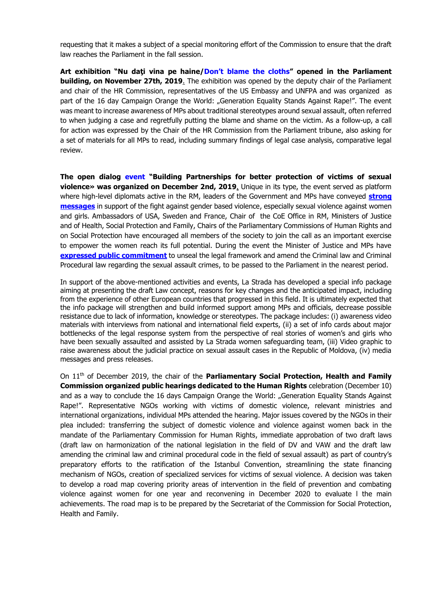requesting that it makes a subject of a special monitoring effort of the Commission to ensure that the draft law reaches the Parliament in the fall session.

Art exhibition "Nu dati vina pe haine/Don't [blame the cloths](http://lastrada.md/rom/articole/hainele-purtate-de-femeile-si-fetele-care-au-trait-un-viol-reamintesc-despre-nevoi-197?fbclid=IwAR3SiJna7y9Lww8NDOPPIARXUFVJ_nyTVGr)" opened in the Parliament **building, on November 27th, 2019**. The exhibition was opened by the deputy chair of the Parliament and chair of the HR Commission, representatives of the US Embassy and UNFPA and was organized as part of the 16 day Campaign Orange the World: "Generation Equality Stands Against Rape!". The event was meant to increase awareness of MPs about traditional stereotypes around sexual assault, often referred to when judging a case and regretfully putting the blame and shame on the victim. As a follow-up, a call for action was expressed by the Chair of the HR Commission from the Parliament tribune, also asking for a set of materials for all MPs to read, including summary findings of legal case analysis, comparative legal review.

**The open dialog [event](http://lastrada.md/rom/articole/ministrul-justitiei-al-rm-proiectul-de-lege-trebuie-aprobat-pentru-ca-este-favorab-202?fbclid=IwAR3SATCe7lQdMXqDRh2RhzUYDauh0rjn_s) "Building Partnerships for better protection of victims of sexual violence» was organized on December 2nd, 2019**. Unique in its type, the event served as platform where high-level diplomats active in the RM, leaders of the Government and MPs have conveyed **[strong](https://www.privesc.eu/Arhiva/89386/Eveniment-organizat-de-Centrul-International--La-Strada-Moldova---in-parteneriat-cu-Ambasada-SUA-la-Chisinau--cu-tema--Parteneriat-puternic-pentru-o-p?fbclid=IwAR0C5427lBdmFROGP7FKUrifooqobb-SNENViEyc5Jpz_OE8I3wu25P4yxo)  [messages](https://www.privesc.eu/Arhiva/89386/Eveniment-organizat-de-Centrul-International--La-Strada-Moldova---in-parteneriat-cu-Ambasada-SUA-la-Chisinau--cu-tema--Parteneriat-puternic-pentru-o-p?fbclid=IwAR0C5427lBdmFROGP7FKUrifooqobb-SNENViEyc5Jpz_OE8I3wu25P4yxo)** in support of the fight against gender based violence, especially sexual violence against women and girls. Ambassadors of USA, Sweden and France, Chair of the CoE Office in RM, Ministers of Justice and of Health, Social Protection and Family, Chairs of the Parliamentary Commissions of Human Rights and on Social Protection have encouraged all members of the society to join the call as an important exercise to empower the women reach its full potential. During the event the Minister of Justice and MPs have **[expressed public commitment](https://www.facebook.com/ONGLaStrada/photos/a.1771260723147314/2445063252433721/?type=3&theater)** to unseal the legal framework and amend the Criminal law and Criminal Procedural law regarding the sexual assault crimes, to be passed to the Parliament in the nearest period.

In support of the above-mentioned activities and events, La Strada has developed a special info package aiming at presenting the draft Law concept, reasons for key changes and the anticipated impact, including from the experience of other European countries that progressed in this field. It is ultimately expected that the info package will strengthen and build informed support among MPs and officials, decrease possible resistance due to lack of information, knowledge or stereotypes. The package includes: (i) awareness video materials with interviews from national and international field experts, (ii) a set of info cards about major bottlenecks of the legal response system from the perspective of real stories of women's and girls who have been sexually assaulted and assisted by La Strada women safeguarding team, (iii) Video graphic to raise awareness about the judicial practice on sexual assault cases in the Republic of Moldova, (iv) media messages and press releases.

On 11th of December 2019, the chair of the **Parliamentary Social Protection, Health and Family Commission organized public hearings dedicated to the Human Rights** celebration (December 10) and as a way to conclude the 16 days Campaign Orange the World: "Generation Equality Stands Against Rape!". Representative NGOs working with victims of domestic violence, relevant ministries and international organizations, individual MPs attended the hearing. Major issues covered by the NGOs in their plea included: transferring the subject of domestic violence and violence against women back in the mandate of the Parliamentary Commission for Human Rights, immediate approbation of two draft laws (draft law on harmonization of the national legislation in the field of DV and VAW and the draft law amending the criminal law and criminal procedural code in the field of sexual assault) as part of country's preparatory efforts to the ratification of the Istanbul Convention, streamlining the state financing mechanism of NGOs, creation of specialized services for victims of sexual violence. A decision was taken to develop a road map covering priority areas of intervention in the field of prevention and combating violence against women for one year and reconvening in December 2020 to evaluate l the main achievements. The road map is to be prepared by the Secretariat of the Commission for Social Protection, Health and Family.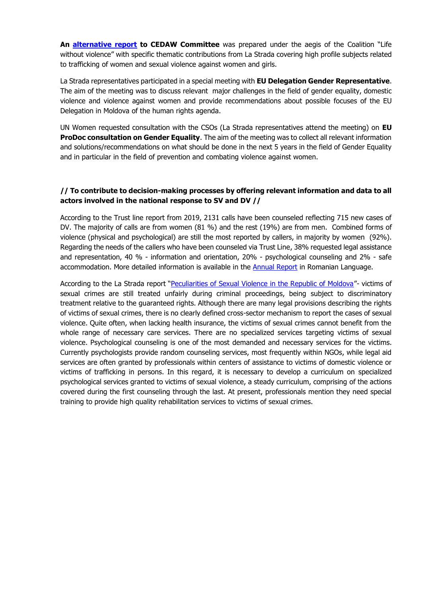**An [alternative report](https://tbinternet.ohchr.org/_layouts/15/treatybodyexternal/Download.aspx?symbolno=INT%2fCEDAW%2fCSS%2fMDA%2f41044&Lang=en) to CEDAW Committee** was prepared under the aegis of the Coalition "Life without violence" with specific thematic contributions from La Strada covering high profile subjects related to trafficking of women and sexual violence against women and girls.

La Strada representatives participated in a special meeting with **EU Delegation Gender Representative**. The aim of the meeting was to discuss relevant major challenges in the field of gender equality, domestic violence and violence against women and provide recommendations about possible focuses of the EU Delegation in Moldova of the human rights agenda.

UN Women requested consultation with the CSOs (La Strada representatives attend the meeting) on **EU ProDoc consultation on Gender Equality**. The aim of the meeting was to collect all relevant information and solutions/recommendations on what should be done in the next 5 years in the field of Gender Equality and in particular in the field of prevention and combating violence against women.

# **// To contribute to decision-making processes by offering relevant information and data to all actors involved in the national response to SV and DV //**

According to the Trust line report from 2019, 2131 calls have been counseled reflecting 715 new cases of DV. The majority of calls are from women (81 %) and the rest (19%) are from men. Combined forms of violence (physical and psychological) are still the most reported by callers, in majority by women (92%). Regarding the needs of the callers who have been counseled via Trust Line, 38% requested legal assistance and representation, 40 % - information and orientation, 20% - psychological counseling and 2% - safe accommodation. More detailed information is available in the **Annual Report** in Romanian Language.

According to the La Strada report "[Peculiarities of Sexual Violence in the Republic of Moldova](http://lastrada.md/pic/uploaded/Peculiarities%20of%20SV%20in%20RM_EN.pdf)"- victims of sexual crimes are still treated unfairly during criminal proceedings, being subject to discriminatory treatment relative to the guaranteed rights. Although there are many legal provisions describing the rights of victims of sexual crimes, there is no clearly defined cross-sector mechanism to report the cases of sexual violence. Quite often, when lacking health insurance, the victims of sexual crimes cannot benefit from the whole range of necessary care services. There are no specialized services targeting victims of sexual violence. Psychological counseling is one of the most demanded and necessary services for the victims. Currently psychologists provide random counseling services, most frequently within NGOs, while legal aid services are often granted by professionals within centers of assistance to victims of domestic violence or victims of trafficking in persons. In this regard, it is necessary to develop a curriculum on specialized psychological services granted to victims of sexual violence, a steady curriculum, comprising of the actions covered during the first counseling through the last. At present, professionals mention they need special training to provide high quality rehabilitation services to victims of sexual crimes.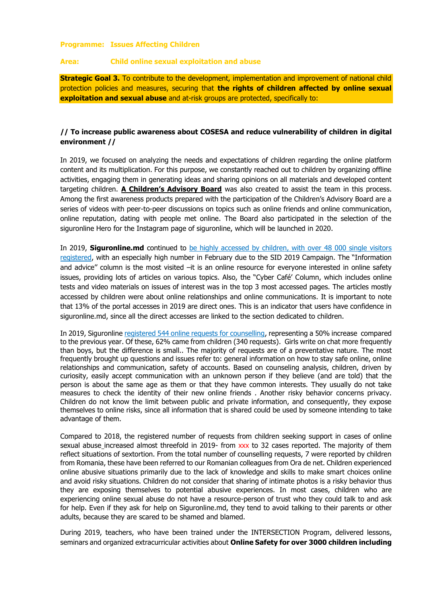#### **Programme: Issues Affecting Children**

#### **Area: Child online sexual exploitation and abuse**

**Strategic Goal 3.** To contribute to the development, implementation and improvement of national child protection policies and measures, securing that **the rights of children affected by online sexual exploitation and sexual abuse** and at-risk groups are protected, specifically to:

# **// To increase public awareness about COSESA and reduce vulnerability of children in digital environment //**

In 2019, we focused on analyzing the needs and expectations of children regarding the online platform content and its multiplication. For this purpose, we constantly reached out to children by organizing offline activities, engaging them in generating ideas and sharing opinions on all materials and developed content targeting children. **A Children's Advisory Board** was also created to assist the team in this process. Among the first awareness products prepared with the participation of the Children's Advisory Board are a series of videos with peer-to-peer discussions on topics such as online friends and online communication, online reputation, dating with people met online. The Board also participated in the selection of the siguronline Hero for the Instagram page of siguronline, which will be launched in 2020.

In 2019, **Siguronline.md** continued to [be highly accessed](http://lastrada.md/pic/uploaded/SIGURONLINE%20factsheet_sem.I%202019.pdf) by children, with over 48 000 single visitors registered, with an especially high number in February due to the SID 2019 Campaign. The "Information and advice" column is the most visited –it is an online resource for everyone interested in online safety issues, providing lots of articles on various topics. Also, the "Cyber Café' Column, which includes online tests and video materials on issues of interest was in the top 3 most accessed pages. The articles mostly accessed by children were about online relationships and online communications. It is important to note that 13% of the portal accesses in 2019 are direct ones. This is an indicator that users have confidence in siguronline.md, since all the direct accesses are linked to the section dedicated to children.

In 2019, Siguronlin[e registered 544 online requests for counselling,](http://lastrada.md/pic/uploaded/Factsheet%20siguronline%202019_RO.pdf) representing a 50% increase compared to the previous year. Of these, 62% came from children (340 requests). Girls write on chat more frequently than boys, but the difference is small.. The majority of requests are of a preventative nature. The most frequently brought up questions and issues refer to: general information on how to stay safe online, online relationships and communication, safety of accounts. Based on counseling analysis, children, driven by curiosity, easily accept communication with an unknown person if they believe (and are told) that the person is about the same age as them or that they have common interests. They usually do not take measures to check the identity of their new online friends . Another risky behavior concerns privacy. Children do not know the limit between public and private information, and consequently, they expose themselves to online risks, since all information that is shared could be used by someone intending to take advantage of them.

Compared to 2018, the registered number of requests from children seeking support in cases of online sexual abuse increased almost threefold in 2019- from xxx to 32 cases reported. The majority of them reflect situations of sextortion. From the total number of counselling requests, 7 were reported by children from Romania, these have been referred to our Romanian colleagues from Ora de net. Children experienced online abusive situations primarily due to the lack of knowledge and skills to make smart choices online and avoid risky situations. Children do not consider that sharing of intimate photos is a risky behavior thus they are exposing themselves to potential abusive experiences. In most cases, children who are experiencing online sexual abuse do not have a resource-person of trust who they could talk to and ask for help. Even if they ask for help on Siguronline.md, they tend to avoid talking to their parents or other adults, because they are scared to be shamed and blamed.

During 2019, teachers, who have been trained under the INTERSECTION Program, delivered lessons, seminars and organized extracurricular activities about **Online Safety for over 3000 children including**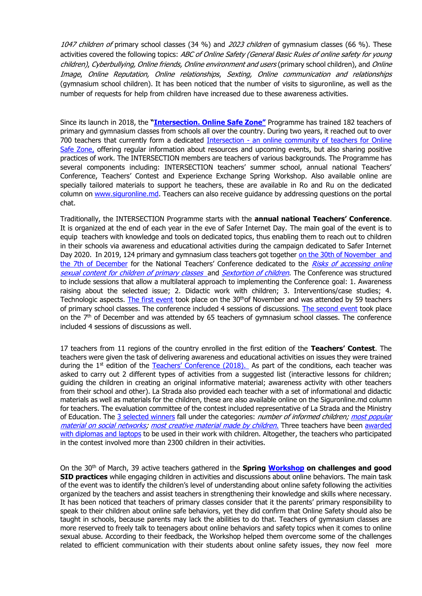1047 children of primary school classes (34 %) and 2023 children of gymnasium classes (66 %). These activities covered the following topics: ABC of Online Safety (General Basic Rules of online safety for young children), Cyberbullying, Online friends, Online environment and users (primary school children), and Online Image, Online Reputation, Online relationships, Sexting, Online communication and relationships (gymnasium school children). It has been noticed that the number of visits to siguronline, as well as the number of requests for help from children have increased due to these awareness activities.

Since its launch in 2018, the **"[Intersection. Onlin](http://lastrada.md/pic/uploaded/INTERSECTIE%20factsheet%20ENG_2019.pdf)e Safe Zone"** Programme has trained 182 teachers of primary and gymnasium classes from schools all over the country. During two years, it reached out to over 700 teachers that currently form a dedicated Intersection - an [online community of teachers for Online](https://www.facebook.com/groups/263462624343218/)  [Safe Zone,](https://www.facebook.com/groups/263462624343218/) offering regular information about resources and upcoming events, but also sharing positive practices of work. The INTERSECTION members are teachers of various backgrounds. The Programme has several components including: INTERSECTION teachers' summer school, annual national Teachers' Conference, Teachers' Contest and Experience Exchange Spring Workshop. Also available online are specially tailored materials to support he teachers, these are available in Ro and Ru on the dedicated column on [www.siguronline.md.](http://www.siguronline.md/) Teachers can also receive guidance by addressing questions on the portal chat.

Traditionally, the INTERSECTION Programme starts with the **annual national Teachers' Conference**. It is organized at the end of each year in the eve of Safer Internet Day. The main goal of the event is to equip teachers with knowledge and tools on dedicated topics, thus enabling them to reach out to children in their schools via awareness and educational activities during the campaign dedicated to Safer Internet Day 2020. In 2019, 124 primary and gymnasium class teachers got together [on the 30th of November](https://www.facebook.com/watch/?v=767053133798808) and [the 7th of December](https://www.facebook.com/watch/?v=767053133798808) for the National Teachers' Conference dedicated to the Risks of accessing online [sexual content for children of primary classes](http://lastrada.md/pic/uploaded/files/Agenda_Conferinta_invatatorilor_30.11_red.pdf) and [Sextortion of children](http://lastrada.md/pic/uploaded/files/Agenda_Conferinta_profesorilor_7.12_red.pdf). The Conference was structured to include sessions that allow a multilateral approach to implementing the Conference goal: 1. Awareness raising about the selected issue; 2. Didactic work with children; 3. Interventions/case studies; 4. Technologic aspects. [The first event](http://lastrada.md/pic/uploaded/files/Agenda_Conferinta_invatatorilor_30.11_red.pdf) took place on the 30<sup>th</sup>of November and was attended by 59 teachers of primary school classes. The conference included 4 sessions of discussions. [The second event](http://lastrada.md/pic/uploaded/files/Agenda_Conferinta_profesorilor_7.12_red.pdf) took place on the  $7<sup>th</sup>$  of December and was attended by 65 teachers of gymnasium school classes. The conference included 4 sessions of discussions as well.

17 teachers from 11 regions of the country enrolled in the first edition of the **Teachers' Contest**. The teachers were given the task of delivering awareness and educational activities on issues they were trained during the 1<sup>st</sup> edition of the [Teachers' Conference \(2018\).](http://lastrada.md/eng/articles/dozens-of-teachers-across-the-country-met-at-the-intersection-marking-the-safe-onl-170) As part of the conditions, each teacher was asked to carry out 2 different types of activities from a suggested list (interactive lessons for children; guiding the children in creating an original informative material; awareness activity with other teachers from their school and other). La Strada also provided each teacher with a set of informational and didactic materials as well as materials for the children, these are also available online on the Siguronline.md column for teachers. The evaluation committee of the contest included representative of La Strada and the Ministry of Education. The [3 selected winners](https://www.facebook.com/photo.php?fbid=2303508819745492&set=gm.312269926129154&type=3&theater&ifg=1) fall under the categories: *number of informed children; most popular* [material on social networks;](https://www.facebook.com/elena.erizanupinzari/posts/1517628738372199) [most creative material made by children](https://www.facebook.com/LTAlexandrucelBun/photos/a.1969573373346092/2000696213567141/?type=3&theater). Three teachers have been awarded [with diplomas and laptops](https://www.facebook.com/media/set/?set=oa.312628542759959&type=3) to be used in their work with children. Altogether, the teachers who participated in the contest involved more than 2300 children in their activities.

On the 30th of March, 39 active teachers gathered in the **Spring [Workshop](http://lastrada.md/rom/articole/comunitatea-nationala-a-pedagogilor-pentru-siguranta-copiilor-in-mediul-online-cre-180) on challenges and good SID practices** while engaging children in activities and discussions about online behaviors. The main task of the event was to identify the children's level of understanding about online safety following the activities organized by the teachers and assist teachers in strengthening their knowledge and skills where necessary. It has been noticed that teachers of primary classes consider that it the parents' primary responsibility to speak to their children about online safe behaviors, yet they did confirm that Online Safety should also be taught in schools, because parents may lack the abilities to do that. Teachers of gymnasium classes are more reserved to freely talk to teenagers about online behaviors and safety topics when it comes to online sexual abuse. According to their feedback, the Workshop helped them overcome some of the challenges related to efficient communication with their students about online safety issues, they now feel more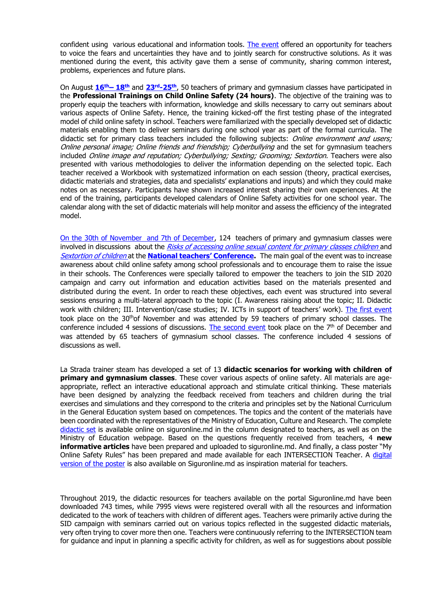confident using various educational and information tools. [The event](https://www.facebook.com/watch/?v=371074720285809) offered an opportunity for teachers to voice the fears and uncertainties they have and to jointly search for constructive solutions. As it was mentioned during the event, this activity gave them a sense of community, sharing common interest, problems, experiences and future plans.

On August **[16](https://cloud.lastrada.md/index.php/s/JqSTa8mMbxQ7jBF#pdfviewer)th– 18th** and **23rd[-25](https://cloud.lastrada.md/index.php/s/txt5rLzpi79AfJ2#pdfviewer)th**, 50 teachers of primary and gymnasium classes have participated in the **Professional Trainings on Child Online Safety (24 hours)**. The objective of the training was to properly equip the teachers with information, knowledge and skills necessary to carry out seminars about various aspects of Online Safety. Hence, the training kicked-off the first testing phase of the integrated model of child online safety in school. Teachers were familiarized with the specially developed set of didactic materials enabling them to deliver seminars during one school year as part of the formal curricula. The didactic set for primary class teachers included the following subjects: *Online environment and users;* Online personal image; Online friends and friendship; Cyberbullying and the set for gymnasium teachers included Online image and reputation; Cyberbullying; Sexting; Grooming; Sextortion. Teachers were also presented with various methodologies to deliver the information depending on the selected topic. Each teacher received a Workbook with systematized information on each session (theory, practical exercises, didactic materials and strategies, data and specialists' explanations and inputs) and which they could make notes on as necessary. Participants have shown increased interest sharing their own experiences. At the end of the training, participants developed calendars of Online Safety activities for one school year. The calendar along with the set of didactic materials will help monitor and assess the efficiency of the integrated model.

[On the 30th of November](https://www.facebook.com/watch/?v=767053133798808) and 7th of December, 124 teachers of primary and gymnasium classes were involved in discussions about the [Risks of accessing online sexual content for primary classes children](http://lastrada.md/pic/uploaded/files/Agenda_Conferinta_invatatorilor_30.11_red.pdf) and [Sextortion of children](http://lastrada.md/pic/uploaded/files/Agenda_Conferinta_profesorilor_7.12_red.pdf) at the **[National teachers' Conference](http://lastrada.md/rom/articole/azi-am-ales-sa-vin-la-intersectie-204).** The main goal of the event was to increase awareness about child online safety among school professionals and to encourage them to raise the issue in their schools. The Conferences were specially tailored to empower the teachers to join the SID 2020 campaign and carry out information and education activities based on the materials presented and distributed during the event. In order to reach these objectives, each event was structured into several sessions ensuring a multi-lateral approach to the topic (I. Awareness raising about the topic; II. Didactic work with children; III. Intervention/case studies; IV. ICTs in support of teachers' work). [The first event](http://lastrada.md/pic/uploaded/files/Agenda_Conferinta_invatatorilor_30.11_red.pdf) took place on the 30<sup>th</sup>of November and was attended by 59 teachers of primary school classes. The conference included 4 sessions of discussions. [The second event](http://lastrada.md/pic/uploaded/files/Agenda_Conferinta_profesorilor_7.12_red.pdf) took place on the  $7<sup>th</sup>$  of December and was attended by 65 teachers of gymnasium school classes. The conference included 4 sessions of discussions as well.

La Strada trainer steam has developed a set of 13 **didactic scenarios for working with children of primary and gymnasium classes**. These cover various aspects of online safety. All materials are ageappropriate, reflect an interactive educational approach and stimulate critical thinking. These materials have been designed by analyzing the feedback received from teachers and children during the trial exercises and simulations and they correspond to the criteria and principles set by the National Curriculum in the General Education system based on competences. The topics and the content of the materials have been coordinated with the representatives of the Ministry of Education, Culture and Research. The complete [didactic set](https://siguronline.md/rom/educatori/resurse-didactice) is available online on siguronline.md in the column designated to teachers, as well as on the Ministry of Education webpage. Based on the questions frequently received from teachers, 4 **new informative articles** have been prepared and uploaded to siguronline.md. And finally, a class poster "My Online Safety Rules" has been prepared and made available for each INTERSECTION Teacher. A [digital](https://siguronline.md/files/resources/15/Poster._Sunt_in_zona_sigura_online..pdf)  [version of the poster](https://siguronline.md/files/resources/15/Poster._Sunt_in_zona_sigura_online..pdf) is also available on Siguronline.md as inspiration material for teachers.

Throughout 2019, the didactic resources for teachers available on the portal Siguronline.md have been downloaded 743 times, while 7995 views were registered overall with all the resources and information dedicated to the work of teachers with children of different ages. Teachers were primarily active during the SID campaign with seminars carried out on various topics reflected in the suggested didactic materials, very often trying to cover more then one. Teachers were continuously referring to the INTERSECTION team for guidance and input in planning a specific activity for children, as well as for suggestions about possible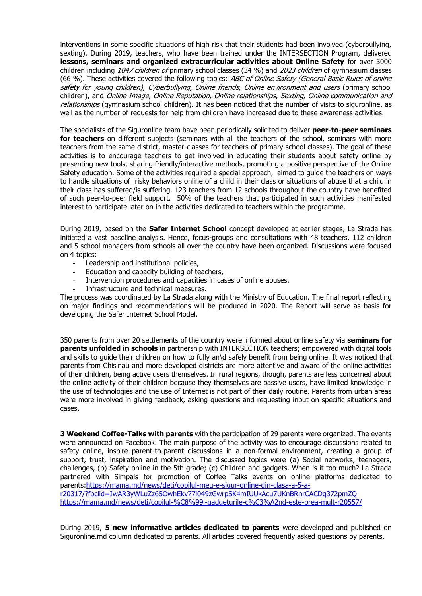interventions in some specific situations of high risk that their students had been involved (cyberbullying, sexting). During 2019, teachers, who have been trained under the INTERSECTION Program, delivered **lessons, seminars and organized extracurricular activities about Online Safety** for over 3000 children including 1047 children of primary school classes (34 %) and 2023 children of gymnasium classes (66 %). These activities covered the following topics: ABC of Online Safety (General Basic Rules of online safety for young children), Cyberbullying, Online friends, Online environment and users (primary school children), and Online Image, Online Reputation, Online relationships, Sexting, Online communication and relationships (gymnasium school children). It has been noticed that the number of visits to siguronline, as well as the number of requests for help from children have increased due to these awareness activities.

The specialists of the Siguronline team have been periodically solicited to deliver **peer-to-peer seminars for teachers** on different subjects (seminars with all the teachers of the school, seminars with more teachers from the same district, master-classes for teachers of primary school classes). The goal of these activities is to encourage teachers to get involved in educating their students about safety online by presenting new tools, sharing friendly/interactive methods, promoting a positive perspective of the Online Safety education. Some of the activities required a special approach, aimed to quide the teachers on ways to handle situations of risky behaviors online of a child in their class or situations of abuse that a child in their class has suffered/is suffering. 123 teachers from 12 schools throughout the country have benefited of such peer-to-peer field support. 50% of the teachers that participated in such activities manifested interest to participate later on in the activities dedicated to teachers within the programme.

During 2019, based on the **Safer Internet School** concept developed at earlier stages, La Strada has initiated a vast baseline analysis. Hence, focus-groups and consultations with 48 teachers, 112 children and 5 school managers from schools all over the country have been organized. Discussions were focused on 4 topics:

- Leadership and institutional policies,
- Education and capacity building of teachers,
- Intervention procedures and capacities in cases of online abuses.
- Infrastructure and technical measures.

The process was coordinated by La Strada along with the Ministry of Education. The final report reflecting on major findings and recommendations will be produced in 2020. The Report will serve as basis for developing the Safer Internet School Model.

350 parents from over 20 settlements of the country were informed about online safety via **seminars for parents unfolded in schools** in partnership with INTERSECTION teachers; empowered with digital tools and skills to guide their children on how to fully an\d safely benefit from being online. It was noticed that parents from Chisinau and more developed districts are more attentive and aware of the online activities of their children, being active users themselves. In rural regions, though, parents are less concerned about the online activity of their children because they themselves are passive users, have limited knowledge in the use of technologies and the use of Internet is not part of their daily routine. Parents from urban areas were more involved in giving feedback, asking questions and requesting input on specific situations and cases.

**3 Weekend Coffee-Talks with parents** with the participation of 29 parents were organized. The events were announced on Facebook. The main purpose of the activity was to encourage discussions related to safety online, inspire parent-to-parent discussions in a non-formal environment, creating a group of support, trust, inspiration and motivation. The discussed topics were (a) Social networks, teenagers, challenges, (b) Safety online in the 5th grade; (c) Children and gadgets. When is it too much? La Strada partnered with Simpals for promotion of Coffee Talks events on online platforms dedicated to parents[:https://mama.md/news/deti/copilul-meu-e-sigur-online-din-clasa-a-5-a](https://mama.md/news/deti/copilul-meu-e-sigur-online-din-clasa-a-5-a-r20317/?fbclid=IwAR3yWLuZz6SOwhEkv77l049zGwrpSK4mIUUkAcu7UKnBRnrCACDq372pmZQ)[r20317/?fbclid=IwAR3yWLuZz6SOwhEkv77l049zGwrpSK4mIUUkAcu7UKnBRnrCACDq372pmZQ](https://mama.md/news/deti/copilul-meu-e-sigur-online-din-clasa-a-5-a-r20317/?fbclid=IwAR3yWLuZz6SOwhEkv77l049zGwrpSK4mIUUkAcu7UKnBRnrCACDq372pmZQ) <https://mama.md/news/deti/copilul-%C8%99i-gadgeturile-c%C3%A2nd-este-prea-mult-r20557/>

During 2019, **5 new informative articles dedicated to parents** were developed and published on Siguronline.md column dedicated to parents. All articles covered frequently asked questions by parents.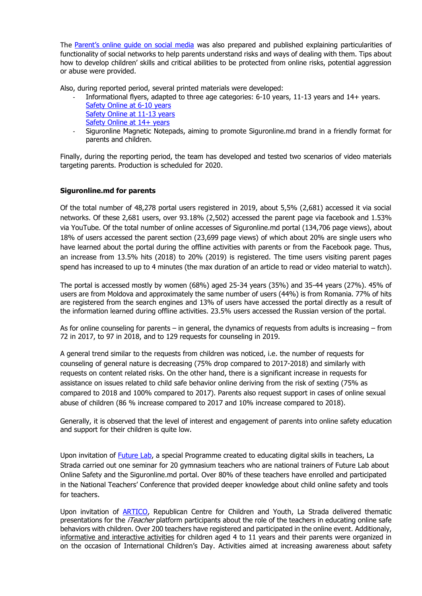The [Parent's online guide on social media](https://siguronline.md/files/resources/14/ghid_final.pdf) was also prepared and published explaining particularities of functionality of social networks to help parents understand risks and ways of dealing with them. Tips about how to develop children' skills and critical abilities to be protected from online risks, potential aggression or abuse were provided.

Also, during reported period, several printed materials were developed:

- Informational flyers, adapted to three age categories: 6-10 years, 11-13 years and 14+ years. [Safety Online at 6-10 years](https://siguronline.md/files/resources/31/flyer_Online_la_6_10_ani_for_print.pdf) [Safety Online at 11-13 years](https://siguronline.md/files/resources/30/flyer_Online_la__11_13_ani_for_print.pdf) [Safety Online at 14+ years](https://siguronline.md/files/resources/32/Flyer_pentru_parinti_Siguronline_la_14__ani.pdf)
- Siguronline Magnetic Notepads, aiming to promote Siguronline.md brand in a friendly format for parents and children.

Finally, during the reporting period, the team has developed and tested two scenarios of video materials targeting parents. Production is scheduled for 2020.

### **Siguronline.md for parents**

Of the total number of 48,278 portal users registered in 2019, about 5,5% (2,681) accessed it via social networks. Of these 2,681 users, over 93.18% (2,502) accessed the parent page via facebook and 1.53% via YouTube. Of the total number of online accesses of Siguronline.md portal (134,706 page views), about 18% of users accessed the parent section (23,699 page views) of which about 20% are single users who have learned about the portal during the offline activities with parents or from the Facebook page. Thus, an increase from 13.5% hits (2018) to 20% (2019) is registered. The time users visiting parent pages spend has increased to up to 4 minutes (the max duration of an article to read or video material to watch).

The portal is accessed mostly by women (68%) aged 25-34 years (35%) and 35-44 years (27%). 45% of users are from Moldova and approximately the same number of users (44%) is from Romania. 77% of hits are registered from the search engines and 13% of users have accessed the portal directly as a result of the information learned during offline activities. 23.5% users accessed the Russian version of the portal.

As for online counseling for parents – in general, the dynamics of requests from adults is increasing – from 72 in 2017, to 97 in 2018, and to 129 requests for counseling in 2019.

A general trend similar to the requests from children was noticed, i.e. the number of requests for counseling of general nature is decreasing (75% drop compared to 2017-2018) and similarly with requests on content related risks. On the other hand, there is a significant increase in requests for assistance on issues related to child safe behavior online deriving from the risk of sexting (75% as compared to 2018 and 100% compared to 2017). Parents also request support in cases of online sexual abuse of children (86 % increase compared to 2017 and 10% increase compared to 2018).

Generally, it is observed that the level of interest and engagement of parents into online safety education and support for their children is quite low.

Upon invitation of [Future Lab,](https://www.youtube.com/watch?v=k8ra_WBUhV4) a special Programme created to educating digital skills in teachers, La Strada carried out one seminar for 20 gymnasium teachers who are national trainers of Future Lab about Online Safety and the Siguronline.md portal. Over 80% of these teachers have enrolled and participated in the National Teachers' Conference that provided deeper knowledge about child online safety and tools for teachers.

Upon invitation of [ARTICO,](http://artico.md/) Republican Centre for Children and Youth, La Strada delivered thematic presentations for the *iTeacher* platform participants about the role of the teachers in educating online safe behaviors with children. Over 200 teachers have registered and participated in the online event. Additionaly, [informative and interactive activities](https://translate.google.com/translate?hl=ru&prev=_t&sl=auto&tl=en&u=https://www.facebook.com/events/317867115779503/) for children aged 4 to 11 years and their parents were organized in on the occasion of International Children's Day. Activities aimed at increasing awareness about safety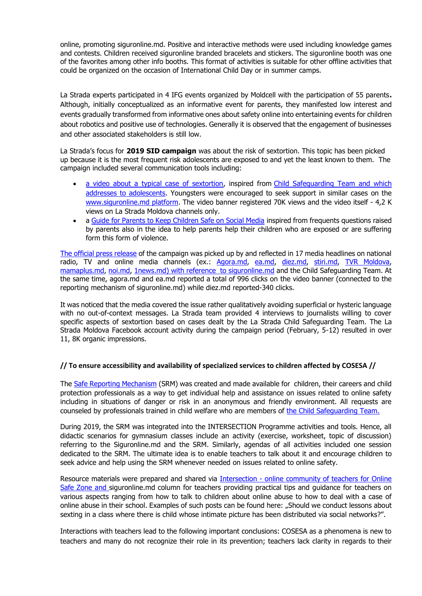online, promoting siguronline.md. Positive and interactive methods were used including knowledge games and contests. Children received siguronline branded bracelets and stickers. The siguronline booth was one of the favorites among other info booths. This format of activities is suitable for other offline activities that could be organized on the occasion of International Child Day or in summer camps.

La Strada experts participated in 4 IFG events organized by Moldcell with the participation of 55 parents**.** Although, initially conceptualized as an informative event for parents, they manifested low interest and events gradually transformed from informative ones about safety online into entertaining events for children about robotics and positive use of technologies. Generally it is observed that the engagement of businesses and other associated stakeholders is still low.

La Strada's focus for **2019 SID campaign** was about the risk of sextortion. This topic has been picked up because it is the most frequent risk adolescents are exposed to and yet the least known to them. The campaign included several communication tools including:

- [a video about a typical case of sextortion,](https://www.youtube.com/watch?time_continue=3&v=FpSPIl_NfDc) inspired from [Child Safeguarding](http://lastrada.md/pic/uploaded/EAC_factsheet_ENG%202018.pdf) Team and which addresses to adolescents. Youngsters were encouraged to seek support in similar cases on the [www.siguronline.md](https://siguronline.md/) platform. The video banner registered 70K views and the video itself - 4,2 K views on La Strada Moldova channels only.
- a [Guide for Parents to Keep Children Safe on Social Media](https://siguronline.md/files/resources/14/ghid_final.pdf) inspired from frequents questions raised by parents also in the idea to help parents help their children who are exposed or are suffering form this form of violence.

[The official press release](http://lastrada.md/eng/articles/on-safer-internet-day-la-strada-launches-a-video-spot-on-sextortion-among-teenager-175) of the campaign was picked up by and reflected in 17 media headlines on national radio, TV and online media channels (ex.: [Agora.md,](https://agora.md/stiri/54163/poate-vrei-sa-ti-vada-mama-pozele--un-spot-contra-santajului-sexual--lansat-de-ziua-sigurantei-online-video) [ea.md,](http://ea.md/oricine-poate-fi-victima-hartuirii-sexuale-cum-prevenim-santajul-in-mediul-online-video/) [diez.md,](http://diez.md/2019/02/05/video-impreuna-pentru-un-internet-mai-bun-la-strada-lanseaza-un-spot-de-prevenire-santajului-sexual-mediul-online/) [stiri.md,](https://stiri.md/article/social/la-strada-lanseaza-un-spot-de-prevenire-a-santajului-sexual-in-mediul-online) [TVR Moldova,](http://tvrmoldova.md/social/impreuna-pentru-un-internet-mai-bun-la-strada-lanseaza-un-spot-video-de-prevenire-a-santajului-sexual-online-in-randul-adolescentilor/) [mamaplus.md,](http://www.mamaplus.md/ro/stiri/de-ziua-internationala-sigurantei-online-se-lanseaza-spotul-video-impreuna-pentru-un-internet?fbclid=IwAR1bkXkkkI8qnc8qBvUZOGft1L60Ano7xgzntGBNcDtHRPqakYmdoEzjrXk) [noi.md,](https://noi.md/md/societate/a-fost-lansat-un-spot-de-prevenire-a-santajului-sexual-in-mediul-online-video?prev=1) [1news.md\)](http://1news.md/social/66077-zapuschen-videorolik-v-celyah-predotvrascheniya-seksualnogo-shantazha-v-onlayn-srede.html) with reference to [siguronline.md](https://siguronline.md/rom/) and the Child Safeguarding Team. At the same time, agora.md and ea.md reported a total of 996 clicks on the video banner (connected to the reporting mechanism of siguronline.md) while diez.md reported-340 clicks.

It was noticed that the media covered the issue rather qualitatively avoiding superficial or hysteric language with no out-of-context messages. La Strada team provided 4 interviews to journalists willing to cover specific aspects of sextortion based on cases dealt by the La Strada Child Safeguarding Team. The La Strada Moldova Facebook account activity during the campaign period (February, 5-12) resulted in over 11, 8K organic impressions.

### **// To ensure accessibility and availability of specialized services to children affected by COSESA //**

The [Safe Reporting Mechanism](https://siguronline.md/rom/educatori/ajutor) (SRM) was created and made available for children, their careers and child protection professionals as a way to get individual help and assistance on issues related to online safety including in situations of danger or risk in an anonymous and friendly environment. All requests are counseled by professionals trained in child welfare who are members of [the Child Safeguarding Team.](http://lastrada.md/pic/uploaded/CST%20factsheet%202nd%20half%20of%202019.docx.pdf)

During 2019, the SRM was integrated into the INTERSECTION Programme activities and tools. Hence, all didactic scenarios for gymnasium classes include an activity (exercise, worksheet, topic of discussion) referring to the Siguronline.md and the SRM. Similarly, agendas of all activities included one session dedicated to the SRM. The ultimate idea is to enable teachers to talk about it and encourage children to seek advice and help using the SRM whenever needed on issues related to online safety.

Resource materials were prepared and shared via Intersection - [online community of teachers for Online](https://www.facebook.com/groups/263462624343218/)  [Safe Zone](https://www.facebook.com/groups/263462624343218/) and [siguronline.md column for teachers](https://siguronline.md/rom/educatori/informatii-si-sfaturi) providing practical tips and guidance for teachers on various aspects ranging from how to talk to children about online abuse to how to deal with a case of online abuse in their school. Examples of such posts can be found here: "Should we conduct lessons about [sexting in a class where there is child whose intimate picture has bee](https://siguronline.md/rom/educatori/informatii-si-sfaturi/ce-facem-intr-o-clasa-in-care-un-copil-a-suferit-de-abuz-sexual-in-mediul-online)n distributed via social networks?".

Interactions with teachers lead to the following important conclusions: COSESA as a phenomena is new to teachers and many do not recognize their role in its prevention; teachers lack clarity in regards to their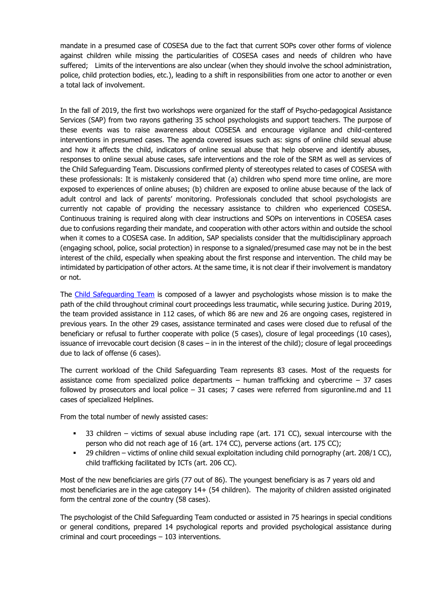mandate in a presumed case of COSESA due to the fact that current SOPs cover other forms of violence against children while missing the particularities of COSESA cases and needs of children who have suffered; Limits of the interventions are also unclear (when they should involve the school administration, police, child protection bodies, etc.), leading to a shift in responsibilities from one actor to another or even a total lack of involvement.

In the fall of 2019, the first two workshops were organized for the staff of Psycho-pedagogical Assistance Services (SAP) from two rayons gathering 35 school psychologists and support teachers. The purpose of these events was to raise awareness about COSESA and encourage vigilance and child-centered interventions in presumed cases. The agenda covered issues such as: signs of online child sexual abuse and how it affects the child, indicators of online sexual abuse that help observe and identify abuses, responses to online sexual abuse cases, safe interventions and the role of the SRM as well as services of the Child Safeguarding Team. Discussions confirmed plenty of stereotypes related to cases of COSESA with these professionals: It is mistakenly considered that (a) children who spend more time online, are more exposed to experiences of online abuses; (b) children are exposed to online abuse because of the lack of adult control and lack of parents' monitoring. Professionals concluded that school psychologists are currently not capable of providing the necessary assistance to children who experienced COSESA. Continuous training is required along with clear instructions and SOPs on interventions in COSESA cases due to confusions regarding their mandate, and cooperation with other actors within and outside the school when it comes to a COSESA case. In addition, SAP specialists consider that the multidisciplinary approach (engaging school, police, social protection) in response to a signaled/presumed case may not be in the best interest of the child, especially when speaking about the first response and intervention. The child may be intimidated by participation of other actors. At the same time, it is not clear if their involvement is mandatory or not.

The [Child Safeguarding Team](http://lastrada.md/pic/uploaded/CST%20factsheet%202nd%20half%20of%202019.docx.pdf) is composed of a lawyer and psychologists whose mission is to make the path of the child throughout criminal court proceedings less traumatic, while securing justice. During 2019, the team provided assistance in 112 cases, of which 86 are new and 26 are ongoing cases, registered in previous years. In the other 29 cases, assistance terminated and cases were closed due to refusal of the beneficiary or refusal to further cooperate with police (5 cases), closure of legal proceedings (10 cases), issuance of irrevocable court decision (8 cases – in in the interest of the child); closure of legal proceedings due to lack of offense (6 cases).

The current workload of the Child Safeguarding Team represents 83 cases. Most of the requests for assistance come from specialized police departments  $-$  human trafficking and cybercrime  $-37$  cases followed by prosecutors and local police – 31 cases; 7 cases were referred from siguronline.md and 11 cases of specialized Helplines.

From the total number of newly assisted cases:

- 33 children victims of sexual abuse including rape (art. 171 CC), sexual intercourse with the person who did not reach age of 16 (art. 174 CC), perverse actions (art. 175 CC);
- 29 children victims of online child sexual exploitation including child pornography (art. 208/1 CC), child trafficking facilitated by ICTs (art. 206 CC).

Most of the new beneficiaries are girls (77 out of 86). The youngest beneficiary is as 7 years old and most beneficiaries are in the age category 14+ (54 children). The majority of children assisted originated form the central zone of the country (58 cases).

The psychologist of the Child Safeguarding Team conducted or assisted in 75 hearings in special conditions or general conditions, prepared 14 psychological reports and provided psychological assistance during criminal and court proceedings – 103 interventions.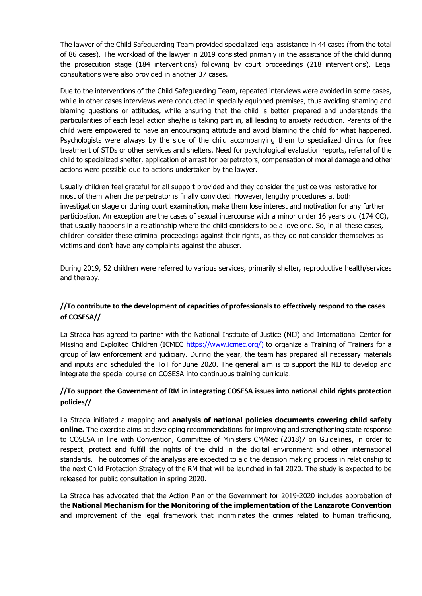The lawyer of the Child Safeguarding Team provided specialized legal assistance in 44 cases (from the total of 86 cases). The workload of the lawyer in 2019 consisted primarily in the assistance of the child during the prosecution stage (184 interventions) following by court proceedings (218 interventions). Legal consultations were also provided in another 37 cases.

Due to the interventions of the Child Safeguarding Team, repeated interviews were avoided in some cases, while in other cases interviews were conducted in specially equipped premises, thus avoiding shaming and blaming questions or attitudes, while ensuring that the child is better prepared and understands the particularities of each legal action she/he is taking part in, all leading to anxiety reduction. Parents of the child were empowered to have an encouraging attitude and avoid blaming the child for what happened. Psychologists were always by the side of the child accompanying them to specialized clinics for free treatment of STDs or other services and shelters. Need for psychological evaluation reports, referral of the child to specialized shelter, application of arrest for perpetrators, compensation of moral damage and other actions were possible due to actions undertaken by the lawyer.

Usually children feel grateful for all support provided and they consider the justice was restorative for most of them when the perpetrator is finally convicted. However, lengthy procedures at both investigation stage or during court examination, make them lose interest and motivation for any further participation. An exception are the cases of sexual intercourse with a minor under 16 years old (174 CC), that usually happens in a relationship where the child considers to be a love one. So, in all these cases, children consider these criminal proceedings against their rights, as they do not consider themselves as victims and don't have any complaints against the abuser.

During 2019, 52 children were referred to various services, primarily shelter, reproductive health/services and therapy.

# **//To contribute to the development of capacities of professionals to effectively respond to the cases of COSESA//**

La Strada has agreed to partner with the National Institute of Justice (NIJ) and International Center for Missing and Exploited Children (ICMEC [https://www.icmec.org/\)](https://mail.lastrada.md/owa/redir.aspx?C=dd826df8c6bb4a0cbed2436e5b31943a&URL=https%3a%2f%2fwww.icmec.org%2f) to organize a Training of Trainers for a group of law enforcement and judiciary. During the year, the team has prepared all necessary materials and inputs and scheduled the ToT for June 2020. The general aim is to support the NIJ to develop and integrate the special course on COSESA into continuous training curricula.

# **//To support the Government of RM in integrating COSESA issues into national child rights protection policies//**

La Strada initiated a mapping and **analysis of national policies documents covering child safety online.** The exercise aims at developing recommendations for improving and strengthening state response to COSESA in line with Convention, Committee of Ministers CM/Rec (2018)7 on Guidelines, in order to respect, protect and fulfill the rights of the child in the digital environment and other international standards. The outcomes of the analysis are expected to aid the decision making process in relationship to the next Child Protection Strategy of the RM that will be launched in fall 2020. The study is expected to be released for public consultation in spring 2020.

La Strada has advocated that the Action Plan of the Government for 2019-2020 includes approbation of the **National Mechanism for the Monitoring of the implementation of the Lanzarote Convention** and improvement of the legal framework that incriminates the crimes related to human trafficking,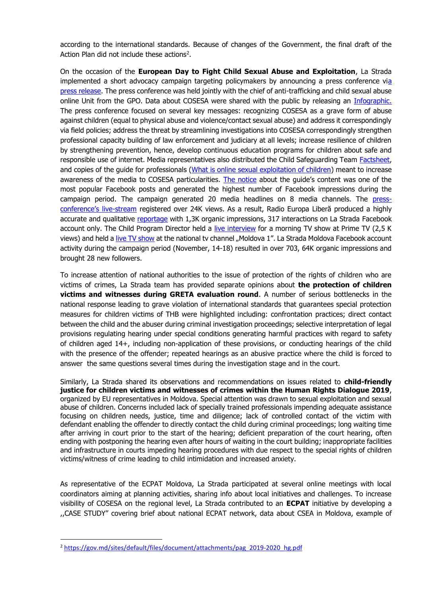according to the international standards. Because of changes of the Government, the final draft of the Action Plan did not include these actions<sup>2</sup>.

On the occasion of the **European Day to Fight Child Sexual Abuse and Exploitation**, La Strada implemented a short advocacy campaign targeting policymakers by announcing a press conference v[ia](http://lastrada.md/rom/articole/exploatarea-sexuala-online-cum-protejam-copiii-de-un-abuz-nerecunoscut-196)  [press release.](http://lastrada.md/rom/articole/exploatarea-sexuala-online-cum-protejam-copiii-de-un-abuz-nerecunoscut-196) The press conference was held jointly with the chief of anti-trafficking and child sexual abuse online Unit from the GPO. Data about COSESA were shared with the public by releasing an [Infographic.](http://lastrada.md/pic/uploaded/Infografic%20COSESA%202019_Eng.pdf) The press conference focused on several key messages: recognizing COSESA as a grave form of abuse against children (equal to physical abuse and violence/contact sexual abuse) and address it correspondingly via field policies; address the threat by streamlining investigations into COSESA correspondingly strengthen professional capacity building of law enforcement and judiciary at all levels; increase resilience of children by strengthening prevention, hence, develop continuous education programs for children about safe and responsible use of internet. Media representatives also distributed the Child Safequarding Team [Factsheet,](http://lastrada.md/pic/uploaded/EAC%20factsheet%20_iunie%20%202019.pdf) and copies of the quide for professionals [\(What is online sexual exploitation of children\)](http://lastrada.md/pic/uploaded/COSESA_%20ghid%20pentru%20profesionisti.pdf?fbclid=IwAR3xAHe6lY6NO49Xo-iGwOdKAsF-kNPQcD6A2_-ckvZTjJlHUBhBGYnSf9o) meant to increase awareness of the media to COSESA particularities. [The notice](https://www.facebook.com/notes/centrul-interna%C8%9Bional-la-strada-moldova/ce-este-exploatarea-sexual%C4%83-online-a-copiilor-ghid-pentru-profesioni%C8%99ti/2431592707114109/) about the guide's content was one of the most popular Facebook posts and generated the highest number of Facebook impressions during the campaign period. The campaign generated 20 media headlines on 8 media channels. The [press](https://www.privesc.eu/arhiva/89239/Conferinta-de-presa-organizata-de-Centrul-International--La-Strada-Moldova--si-Procuratura-pentru-Combaterea-Criminalitatii-Organizate-si-Cauze-Specia)[conference's live](https://www.privesc.eu/arhiva/89239/Conferinta-de-presa-organizata-de-Centrul-International--La-Strada-Moldova--si-Procuratura-pentru-Combaterea-Criminalitatii-Organizate-si-Cauze-Specia)-stream registered over 24K views. As a result, Radio Europa Liberă produced a highly accurate and qualitative [reportage](https://moldova.europalibera.org/a/copiii-internetul-%C5%9Fi-abuzul-sexual-pur-%C5%9Fi-simplu/30306682.html?fbclid=IwAR0vwT7H0rQsg98xc126XBAK73fpKt-jdW5LfQgyfPAwsjLSJodF29q2nXI) with 1,3K organic impressions, 317 interactions on La Strada Facebook account only. The Child Program Director held a [live interview](https://www.facebook.com/PrimaOraOfficial/videos/438554793756166/UzpfSTE3NzA5MjU1OTY1MTQxNjA6MjQzMDU5MTM2Mzg4MDkxMA/) for a morning TV show at Prime TV (2,5 K views) and held a [live TV show](https://www.facebook.com/196969414124846/videos/570724977025687/) at the national tv channel "Moldova 1". La Strada Moldova Facebook account activity during the campaign period (November, 14-18) resulted in over 703, 64K organic impressions and brought 28 new followers.

To increase attention of national authorities to the issue of protection of the rights of children who are victims of crimes, La Strada team has provided separate opinions about **the protection of children victims and witnesses during GRETA evaluation round**. A number of serious bottlenecks in the national response leading to grave violation of international standards that guarantees special protection measures for children victims of THB were highlighted including: confrontation practices; direct contact between the child and the abuser during criminal investigation proceedings; selective interpretation of legal provisions regulating hearing under special conditions generating harmful practices with regard to safety of children aged 14+, including non-application of these provisions, or conducting hearings of the child with the presence of the offender; repeated hearings as an abusive practice where the child is forced to answer the same questions several times during the investigation stage and in the court.

Similarly, La Strada shared its observations and recommendations on issues related to **child-friendly justice for children victims and witnesses of crimes within the Human Rights Dialogue 2019**, organized by EU representatives in Moldova. Special attention was drawn to sexual exploitation and sexual abuse of children. Concerns included lack of specially trained professionals impending adequate assistance focusing on children needs, justice, time and diligence; lack of controlled contact of the victim with defendant enabling the offender to directly contact the child during criminal proceedings; long waiting time after arriving in court prior to the start of the hearing; deficient preparation of the court hearing, often ending with postponing the hearing even after hours of waiting in the court building; inappropriate facilities and infrastructure in courts impeding hearing procedures with due respect to the special rights of children victims/witness of crime leading to child intimidation and increased anxiety.

As representative of the ECPAT Moldova, La Strada participated at several online meetings with local coordinators aiming at planning activities, sharing info about local initiatives and challenges. To increase visibility of COSESA on the regional level, La Strada contributed to an **ECPAT** initiative by developing a ,,CASE STUDY" covering brief about national ECPAT network, data about CSEA in Moldova, example of

**.** 

<sup>&</sup>lt;sup>2</sup> [https://gov.md/sites/default/files/document/attachments/pag\\_2019-2020\\_hg.pdf](https://gov.md/sites/default/files/document/attachments/pag_2019-2020_hg.pdf)